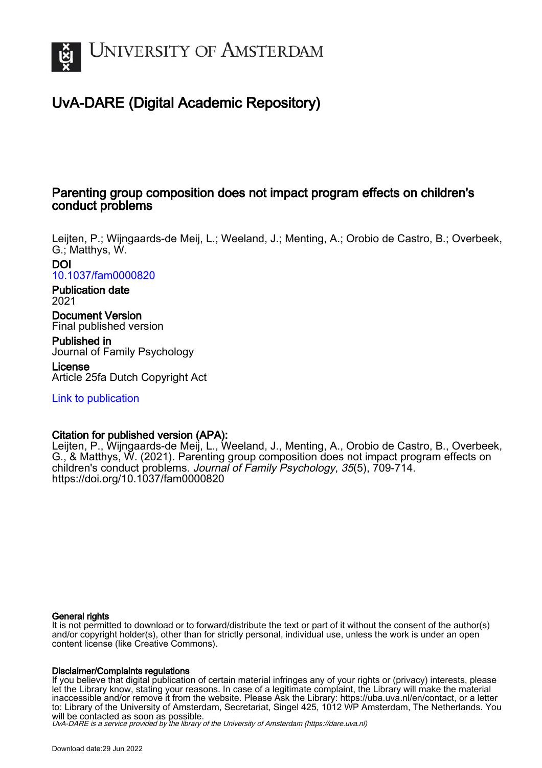

# UvA-DARE (Digital Academic Repository)

# Parenting group composition does not impact program effects on children's conduct problems

Leijten, P.; Wijngaards-de Meij, L.; Weeland, J.; Menting, A.; Orobio de Castro, B.; Overbeek, G.; Matthys, W.

DOI [10.1037/fam0000820](https://doi.org/10.1037/fam0000820)

Publication date 2021

Document Version Final published version

Published in Journal of Family Psychology License

Article 25fa Dutch Copyright Act

[Link to publication](https://dare.uva.nl/personal/pure/en/publications/parenting-group-composition-does-not-impact-program-effects-on-childrens-conduct-problems(a2b584f0-54ed-41e8-b1c9-b82dc04a39f9).html)

# Citation for published version (APA):

Leijten, P., Wijngaards-de Meij, L., Weeland, J., Menting, A., Orobio de Castro, B., Overbeek, G., & Matthys, W. (2021). Parenting group composition does not impact program effects on children's conduct problems. Journal of Family Psychology, 35(5), 709-714. <https://doi.org/10.1037/fam0000820>

## General rights

It is not permitted to download or to forward/distribute the text or part of it without the consent of the author(s) and/or copyright holder(s), other than for strictly personal, individual use, unless the work is under an open content license (like Creative Commons).

## Disclaimer/Complaints regulations

If you believe that digital publication of certain material infringes any of your rights or (privacy) interests, please let the Library know, stating your reasons. In case of a legitimate complaint, the Library will make the material inaccessible and/or remove it from the website. Please Ask the Library: https://uba.uva.nl/en/contact, or a letter to: Library of the University of Amsterdam, Secretariat, Singel 425, 1012 WP Amsterdam, The Netherlands. You will be contacted as soon as possible.

UvA-DARE is a service provided by the library of the University of Amsterdam (http*s*://dare.uva.nl)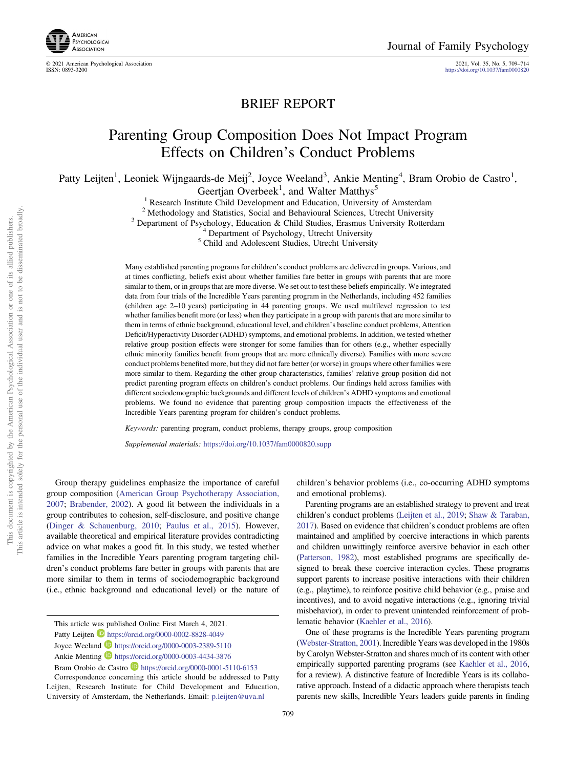

© 2021 American Psychological Association 2021, Vol. 35, No. 5, 709–714

https://doi.org/10.1037/fam0000820

# BRIEF REPORT

# Parenting Group Composition Does Not Impact Program Effects on Children's Conduct Problems

Patty Leijten<sup>1</sup>, Leoniek Wijngaards-de Meij<sup>2</sup>, Joyce Weeland<sup>3</sup>, Ankie Menting<sup>4</sup>, Bram Orobio de Castro<sup>1</sup>,

Geertjan Overbeek<sup>1</sup>, and Walter Matthys<sup>5</sup>

<sup>1</sup> Research Institute Child Development and Education, University of Amsterdam<sup>2</sup> Methodology and Statistics, Social and Behavioural Sciences, Utrecht University <sup>3</sup> Department of Psychology, Education & Child Studies, E

Many established parenting programs for children's conduct problems are delivered in groups. Various, and at times conflicting, beliefs exist about whether families fare better in groups with parents that are more similar to them, or in groups that are more diverse. We set out to test these beliefs empirically. We integrated data from four trials of the Incredible Years parenting program in the Netherlands, including 452 families (children age 2–10 years) participating in 44 parenting groups. We used multilevel regression to test whether families benefit more (or less) when they participate in a group with parents that are more similar to them in terms of ethnic background, educational level, and children's baseline conduct problems, Attention Deficit/Hyperactivity Disorder (ADHD) symptoms, and emotional problems. In addition, we tested whether relative group position effects were stronger for some families than for others (e.g., whether especially ethnic minority families benefit from groups that are more ethnically diverse). Families with more severe conduct problems benefited more, but they did not fare better (or worse) in groups where other families were more similar to them. Regarding the other group characteristics, families' relative group position did not predict parenting program effects on children's conduct problems. Our findings held across families with different sociodemographic backgrounds and different levels of children's ADHD symptoms and emotional problems. We found no evidence that parenting group composition impacts the effectiveness of the Incredible Years parenting program for children's conduct problems.

Keywords: parenting program, conduct problems, therapy groups, group composition

Supplemental materials: https://doi.org/10.1037/fam0000820.supp

Group therapy guidelines emphasize the importance of careful group composition (American Group Psychotherapy Association, 2007; Brabender, 2002). A good fit between the individuals in a group contributes to cohesion, self-disclosure, and positive change (Dinger & Schauenburg, 2010; Paulus et al., 2015). However, available theoretical and empirical literature provides contradicting advice on what makes a good fit. In this study, we tested whether families in the Incredible Years parenting program targeting children's conduct problems fare better in groups with parents that are more similar to them in terms of sociodemographic background (i.e., ethnic background and educational level) or the nature of

Ankie Menting **b** https://orcid.org/0000-0003-4434-3876

children's behavior problems (i.e., co-occurring ADHD symptoms and emotional problems).

Parenting programs are an established strategy to prevent and treat children's conduct problems (Leijten et al., 2019; Shaw & Taraban, 2017). Based on evidence that children's conduct problems are often maintained and amplified by coercive interactions in which parents and children unwittingly reinforce aversive behavior in each other (Patterson, 1982), most established programs are specifically designed to break these coercive interaction cycles. These programs support parents to increase positive interactions with their children (e.g., playtime), to reinforce positive child behavior (e.g., praise and incentives), and to avoid negative interactions (e.g., ignoring trivial misbehavior), in order to prevent unintended reinforcement of problematic behavior (Kaehler et al., 2016).

One of these programs is the Incredible Years parenting program (Webster-Stratton, 2001). Incredible Years was developed in the 1980s by Carolyn Webster-Stratton and shares much of its content with other empirically supported parenting programs (see Kaehler et al., 2016, for a review). A distinctive feature of Incredible Years is its collaborative approach. Instead of a didactic approach where therapists teach parents new skills, Incredible Years leaders guide parents in finding

This article was published Online First March 4, 2021.

Patty Leijten https://orcid.org/0000-0002-8828-4049

Joyce Weeland **D** https://orcid.org/0000-0003-2389-5110

Bram Orobio de Castro **https://orcid.org/0000-0001-5110-6153** 

Correspondence concerning this article should be addressed to Patty Leijten, Research Institute for Child Development and Education, University of Amsterdam, the Netherlands. Email: p.leijten@uva.nl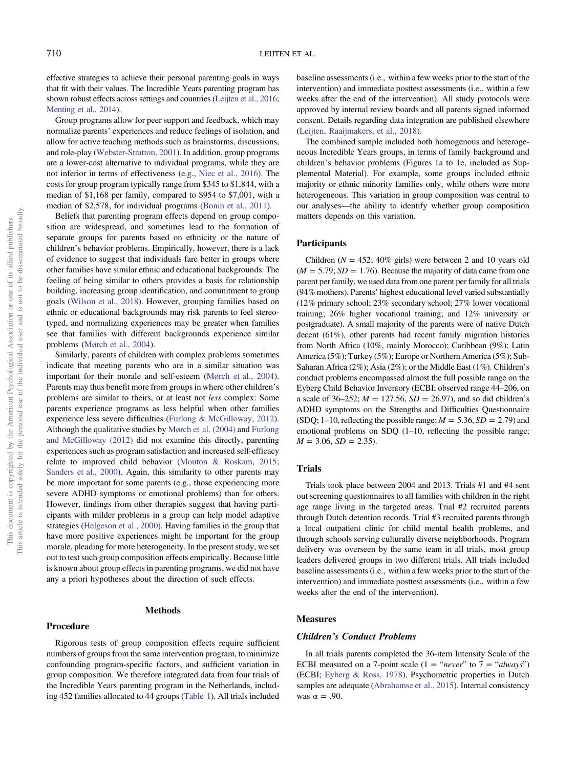effective strategies to achieve their personal parenting goals in ways that fit with their values. The Incredible Years parenting program has shown robust effects across settings and countries (Leijten et al., 2016; Menting et al., 2014).

Group programs allow for peer support and feedback, which may normalize parents' experiences and reduce feelings of isolation, and allow for active teaching methods such as brainstorms, discussions, and role-play (Webster-Stratton, 2001). In addition, group programs are a lower-cost alternative to individual programs, while they are not inferior in terms of effectiveness (e.g., Niec et al., 2016). The costs for group program typically range from \$345 to \$1,844, with a median of \$1,168 per family, compared to \$954 to \$7,001, with a median of \$2,578, for individual programs (Bonin et al., 2011).

Beliefs that parenting program effects depend on group composition are widespread, and sometimes lead to the formation of separate groups for parents based on ethnicity or the nature of children's behavior problems. Empirically, however, there is a lack of evidence to suggest that individuals fare better in groups where other families have similar ethnic and educational backgrounds. The feeling of being similar to others provides a basis for relationship building, increasing group identification, and commitment to group goals (Wilson et al., 2018). However, grouping families based on ethnic or educational backgrounds may risk parents to feel stereotyped, and normalizing experiences may be greater when families see that families with different backgrounds experience similar problems (Mørch et al., 2004).

Similarly, parents of children with complex problems sometimes indicate that meeting parents who are in a similar situation was important for their morale and self-esteem (Mørch et al., 2004). Parents may thus benefit more from groups in where other children's problems are similar to theirs, or at least not less complex: Some parents experience programs as less helpful when other families experience less severe difficulties (Furlong & McGilloway, 2012). Although the qualitative studies by Mørch et al. (2004) and Furlong and McGilloway (2012) did not examine this directly, parenting experiences such as program satisfaction and increased self-efficacy relate to improved child behavior (Mouton & Roskam, 2015; Sanders et al., 2000). Again, this similarity to other parents may be more important for some parents (e.g., those experiencing more severe ADHD symptoms or emotional problems) than for others. However, findings from other therapies suggest that having participants with milder problems in a group can help model adaptive strategies (Helgeson et al., 2000). Having families in the group that have more positive experiences might be important for the group morale, pleading for more heterogeneity. In the present study, we set out to test such group composition effects empirically. Because little is known about group effects in parenting programs, we did not have any a priori hypotheses about the direction of such effects.

# Methods

## Procedure Rigorous tests of group composition effects require sufficient numbers of groups from the same intervention program, to minimize confounding program-specific factors, and sufficient variation in group composition. We therefore integrated data from four trials of the Incredible Years parenting program in the Netherlands, including 452 families allocated to 44 groups (Table 1). All trials included

baseline assessments (i.e., within a few weeks prior to the start of the intervention) and immediate posttest assessments (i.e., within a few weeks after the end of the intervention). All study protocols were approved by internal review boards and all parents signed informed consent. Details regarding data integration are published elsewhere (Leijten, Raaijmakers, et al., 2018).

The combined sample included both homogenous and heterogeneous Incredible Years groups, in terms of family background and children's behavior problems (Figures 1a to 1e, included as Supplemental Material). For example, some groups included ethnic majority or ethnic minority families only, while others were more heterogeneous. This variation in group composition was central to our analyses—the ability to identify whether group composition matters depends on this variation.

#### Participants

Children ( $N = 452$ ; 40% girls) were between 2 and 10 years old  $(M = 5.79; SD = 1.76)$ . Because the majority of data came from one parent per family, we used data from one parent per family for all trials (94% mothers). Parents' highest educational level varied substantially (12% primary school; 23% secondary school; 27% lower vocational training; 26% higher vocational training; and 12% university or postgraduate). A small majority of the parents were of native Dutch decent (61%), other parents had recent family migration histories from North Africa (10%, mainly Morocco); Caribbean (9%); Latin America (5%); Turkey (5%); Europe or Northern America (5%); Sub-Saharan Africa (2%); Asia (2%); or the Middle East (1%). Children's conduct problems encompassed almost the full possible range on the Eyberg Child Behavior Inventory (ECBI; observed range 44–206, on a scale of 36–252;  $M = 127.56$ ,  $SD = 26.97$ ), and so did children's ADHD symptoms on the Strengths and Difficulties Questionnaire (SDQ; 1–10, reflecting the possible range;  $M = 5.36$ ,  $SD = 2.79$ ) and emotional problems on SDQ (1–10, reflecting the possible range;  $M = 3.06$ ,  $SD = 2.35$ ).

### Trials

Trials took place between 2004 and 2013. Trials #1 and #4 sent out screening questionnaires to all families with children in the right age range living in the targeted areas. Trial #2 recruited parents through Dutch detention records. Trial #3 recruited parents through a local outpatient clinic for child mental health problems, and through schools serving culturally diverse neighborhoods. Program delivery was overseen by the same team in all trials, most group leaders delivered groups in two different trials. All trials included baseline assessments (i.e., within a few weeks prior to the start of the intervention) and immediate posttest assessments (i.e., within a few weeks after the end of the intervention).

#### **Measures**

#### Children's Conduct Problems

In all trials parents completed the 36-item Intensity Scale of the ECBI measured on a 7-point scale  $(1 = "never"$  to  $7 = "always")$ (ECBI; Eyberg & Ross, 1978). Psychometric properties in Dutch samples are adequate (Abrahamse et al., 2015). Internal consistency was  $\alpha = .90$ .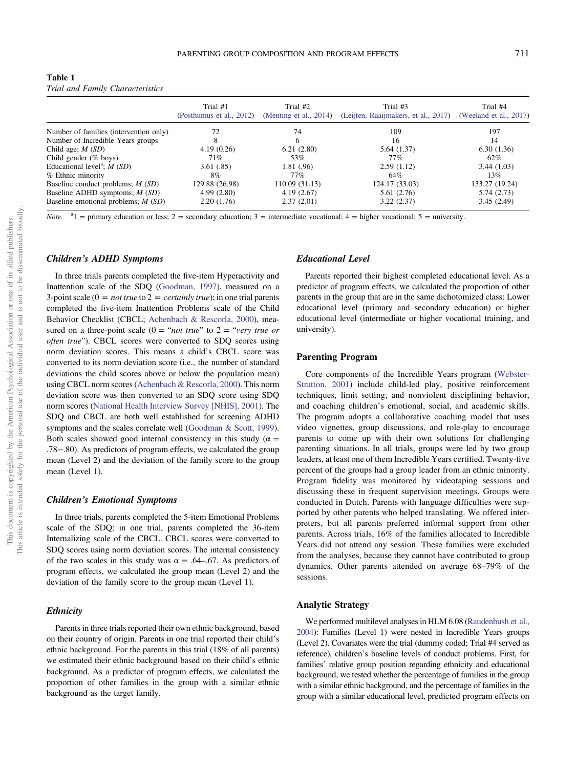| Table 1 |  |                                  |
|---------|--|----------------------------------|
|         |  | Trial and Family Characteristics |

|                                          | Trial #1<br>(Posthumus et al., 2012) | Trial #2<br>(Menting et al., 2014) | Trial #3<br>(Leijten, Raaijmakers, et al., 2017) | Trial #4<br>(Weeland et al., 2017) |
|------------------------------------------|--------------------------------------|------------------------------------|--------------------------------------------------|------------------------------------|
| Number of families (intervention only)   | 72                                   | 74                                 | 109                                              | 197                                |
| Number of Incredible Years groups        | 8                                    | 6                                  | 16                                               | 14                                 |
| Child age; $M(SD)$                       | 4.19(0.26)                           | 6.21(2.80)                         | 5.64(1.37)                                       | 6.30(1.36)                         |
| Child gender $(\%$ boys)                 | 71%                                  | 53%                                | 77%                                              | 62%                                |
| Educational level <sup>a</sup> ; $M(SD)$ | 3.61(.85)                            | 1.81(0.96)                         | 2.59(1.12)                                       | 3.44(1.03)                         |
| % Ethnic minority                        | 8%                                   | 77%                                | 64%                                              | 13%                                |
| Baseline conduct problems; $M(SD)$       | 129.88 (26.98)                       | 110.09 (31.13)                     | 124.17 (33.03)                                   | 133.27 (19.24)                     |
| Baseline ADHD symptoms; $M(SD)$          | 4.99(2.80)                           | 4.19(2.67)                         | 5.61(2.76)                                       | 5.74(2.73)                         |
| Baseline emotional problems; $M(SD)$     | 2.20(1.76)                           | 2.37(2.01)                         | 3.22(2.37)                                       | 3.45(2.49)                         |

*Note.* <sup>a</sup>l = primary education or less; 2 = secondary education; 3 = intermediate vocational; 4 = higher vocational; 5 = university.

#### Children's ADHD Symptoms

In three trials parents completed the five-item Hyperactivity and Inattention scale of the SDQ (Goodman, 1997), measured on a 3-point scale ( $0 = not true$  to  $2 = certainly true$ ); in one trial parents completed the five-item Inattention Problems scale of the Child Behavior Checklist (CBCL; Achenbach & Rescorla, 2000), measured on a three-point scale (0 = "*not true*" to 2 = "*very true or* often true"). CBCL scores were converted to SDQ scores using norm deviation scores. This means a child's CBCL score was converted to its norm deviation score (i.e., the number of standard deviations the child scores above or below the population mean) using CBCL norm scores (Achenbach & Rescorla, 2000). This norm deviation score was then converted to an SDQ score using SDQ norm scores (National Health Interview Survey [NHIS], 2001). The SDQ and CBCL are both well established for screening ADHD symptoms and the scales correlate well (Goodman & Scott, 1999). Both scales showed good internal consistency in this study ( $\alpha$  = .78−.80). As predictors of program effects, we calculated the group mean (Level 2) and the deviation of the family score to the group mean (Level 1).

#### Children's Emotional Symptoms

In three trials, parents completed the 5-item Emotional Problems scale of the SDQ; in one trial, parents completed the 36-item Internalizing scale of the CBCL. CBCL scores were converted to SDQ scores using norm deviation scores. The internal consistency of the two scales in this study was  $\alpha = .64-.67$ . As predictors of program effects, we calculated the group mean (Level 2) and the deviation of the family score to the group mean (Level 1).

#### **Ethnicity**

Parents in three trials reported their own ethnic background, based on their country of origin. Parents in one trial reported their child's ethnic background. For the parents in this trial (18% of all parents) we estimated their ethnic background based on their child's ethnic background. As a predictor of program effects, we calculated the proportion of other families in the group with a similar ethnic background as the target family.

#### Educational Level

Parents reported their highest completed educational level. As a predictor of program effects, we calculated the proportion of other parents in the group that are in the same dichotomized class: Lower educational level (primary and secondary education) or higher educational level (intermediate or higher vocational training, and university).

#### Parenting Program

Core components of the Incredible Years program (Webster-Stratton, 2001) include child-led play, positive reinforcement techniques, limit setting, and nonviolent disciplining behavior, and coaching children's emotional, social, and academic skills. The program adopts a collaborative coaching model that uses video vignettes, group discussions, and role-play to encourage parents to come up with their own solutions for challenging parenting situations. In all trials, groups were led by two group leaders, at least one of them Incredible Years certified. Twenty-five percent of the groups had a group leader from an ethnic minority. Program fidelity was monitored by videotaping sessions and discussing these in frequent supervision meetings. Groups were conducted in Dutch. Parents with language difficulties were supported by other parents who helped translating. We offered interpreters, but all parents preferred informal support from other parents. Across trials, 16% of the families allocated to Incredible Years did not attend any session. These families were excluded from the analyses, because they cannot have contributed to group dynamics. Other parents attended on average 68–79% of the sessions.

#### Analytic Strategy

We performed multilevel analyses in HLM 6.08 (Raudenbush et al., 2004): Families (Level 1) were nested in Incredible Years groups (Level 2). Covariates were the trial (dummy coded; Trial #4 served as reference), children's baseline levels of conduct problems. First, for families' relative group position regarding ethnicity and educational background, we tested whether the percentage of families in the group with a similar ethnic background, and the percentage of families in the group with a similar educational level, predicted program effects on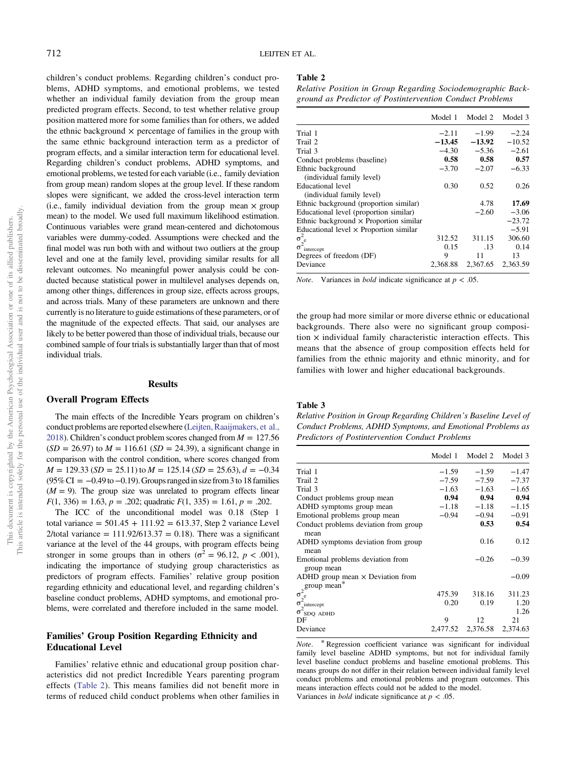children's conduct problems. Regarding children's conduct problems, ADHD symptoms, and emotional problems, we tested whether an individual family deviation from the group mean predicted program effects. Second, to test whether relative group position mattered more for some families than for others, we added the ethnic background  $\times$  percentage of families in the group with the same ethnic background interaction term as a predictor of program effects, and a similar interaction term for educational level. Regarding children's conduct problems, ADHD symptoms, and emotional problems, we tested for each variable (i.e., family deviation from group mean) random slopes at the group level. If these random slopes were significant, we added the cross-level interaction term (i.e., family individual deviation from the group mean  $\times$  group mean) to the model. We used full maximum likelihood estimation. Continuous variables were grand mean-centered and dichotomous variables were dummy-coded. Assumptions were checked and the final model was run both with and without two outliers at the group level and one at the family level, providing similar results for all relevant outcomes. No meaningful power analysis could be conducted because statistical power in multilevel analyses depends on, among other things, differences in group size, effects across groups, and across trials. Many of these parameters are unknown and there currently is no literature to guide estimations of these parameters, or of the magnitude of the expected effects. That said, our analyses are likely to be better powered than those of individual trials, because our combined sample of four trials is substantially larger than that of most individual trials.

#### Results

#### Overall Program Effects

The main effects of the Incredible Years program on children's conduct problems are reported elsewhere (Leijten, Raaijmakers, et al., 2018). Children's conduct problem scores changed from  $M = 127.56$  $(SD = 26.97)$  to  $M = 116.61$   $(SD = 24.39)$ , a significant change in comparison with the control condition, where scores changed from  $M = 129.33$  (SD = 25.11) to  $M = 125.14$  (SD = 25.63),  $d = -0.34$  $(95\% \text{ CI} = -0.49 \text{ to } -0.19)$ . Groups ranged in size from 3 to 18 families  $(M = 9)$ . The group size was unrelated to program effects linear  $F(1, 336) = 1.63, p = .202$ ; quadratic  $F(1, 335) = 1.61, p = .202$ .

The ICC of the unconditional model was 0.18 (Step 1 total variance =  $501.45 + 111.92 = 613.37$ , Step 2 variance Level 2/total variance =  $111.92/613.37 = 0.18$ ). There was a significant variance at the level of the 44 groups, with program effects being stronger in some groups than in others ( $\sigma^2 = 96.12$ ,  $p < .001$ ), indicating the importance of studying group characteristics as predictors of program effects. Families' relative group position regarding ethnicity and educational level, and regarding children's baseline conduct problems, ADHD symptoms, and emotional problems, were correlated and therefore included in the same model.

### Families' Group Position Regarding Ethnicity and Educational Level

Families' relative ethnic and educational group position characteristics did not predict Incredible Years parenting program effects (Table 2). This means families did not benefit more in terms of reduced child conduct problems when other families in

#### Table 2

Relative Position in Group Regarding Sociodemographic Background as Predictor of Postintervention Conduct Problems

|                                                | Model 1  | Model 2  | Model 3  |
|------------------------------------------------|----------|----------|----------|
| Trial 1                                        | $-2.11$  | $-1.99$  | $-2.24$  |
| Trail 2                                        | $-13.45$ | $-13.92$ | $-10.52$ |
| Trial 3                                        | $-4.30$  | $-5.36$  | $-2.61$  |
| Conduct problems (baseline)                    | 0.58     | 0.58     | 0.57     |
| Ethnic background                              | $-3.70$  | $-2.07$  | $-6.33$  |
| (individual family level)                      |          |          |          |
| <b>Educational level</b>                       | 0.30     | 0.52     | 0.26     |
| (individual family level)                      |          |          |          |
| Ethnic background (proportion similar)         |          | 4.78     | 17.69    |
| Educational level (proportion similar)         |          | $-2.60$  | $-3.06$  |
| Ethnic background $\times$ Proportion similar  |          |          | $-23.72$ |
| Educational level $\times$ Proportion similar  |          |          | $-5.91$  |
|                                                | 312.52   | 311.15   | 306.60   |
| $\sigma_{\rm e}^2$<br>σ <sup>2</sup> intercept | 0.15     | .13      | 0.14     |
| Degrees of freedom (DF)                        | 9        | 11       | 13       |
| Deviance                                       | 2,368.88 | 2,367.65 | 2,363.59 |

*Note.* Variances in *bold* indicate significance at  $p < .05$ .

the group had more similar or more diverse ethnic or educational backgrounds. There also were no significant group composition  $\times$  individual family characteristic interaction effects. This means that the absence of group composition effects held for families from the ethnic majority and ethnic minority, and for families with lower and higher educational backgrounds.

#### Table 3

Relative Position in Group Regarding Children's Baseline Level of Conduct Problems, ADHD Symptoms, and Emotional Problems as Predictors of Postintervention Conduct Problems

|                                                                                                         |         | Model 1 Model 2 Model 3    |         |
|---------------------------------------------------------------------------------------------------------|---------|----------------------------|---------|
| Trial 1                                                                                                 | $-1.59$ | $-1.59$                    | $-1.47$ |
| Trail 2                                                                                                 | $-7.59$ | $-7.59$                    | $-7.37$ |
| Trial 3                                                                                                 | $-1.63$ | $-1.63$                    | $-1.65$ |
| Conduct problems group mean                                                                             | 0.94    | 0.94                       | 0.94    |
| ADHD symptoms group mean                                                                                | $-1.18$ | $-1.18$                    | $-1.15$ |
| Emotional problems group mean                                                                           | $-0.94$ | $-0.94$                    | $-0.91$ |
| Conduct problems deviation from group<br>mean                                                           |         | 0.53                       | 0.54    |
| ADHD symptoms deviation from group<br>mean                                                              |         | 0.16                       | 0.12    |
| Emotional problems deviation from<br>group mean                                                         |         | $-0.26$                    | $-0.39$ |
| ADHD group mean $\times$ Deviation from<br>group mean*<br>$\sigma_e^2$<br>$\sigma_{\text{intercept}}^2$ |         |                            | $-0.09$ |
|                                                                                                         | 475.39  | 318.16                     | 311.23  |
|                                                                                                         | 0.20    | 0.19                       | 1.20    |
| $\sigma$ <sub>SDQ</sub> ADHD                                                                            |         |                            | 1.26    |
| DF                                                                                                      | 9       | 12                         | 21      |
| Deviance                                                                                                |         | 2,477.52 2,376.58 2,374.63 |         |

Note. \* Regression coefficient variance was significant for individual family level baseline ADHD symptoms, but not for individual family level baseline conduct problems and baseline emotional problems. This means groups do not differ in their relation between individual family level conduct problems and emotional problems and program outcomes. This means interaction effects could not be added to the model. Variances in *bold* indicate significance at  $p < .05$ .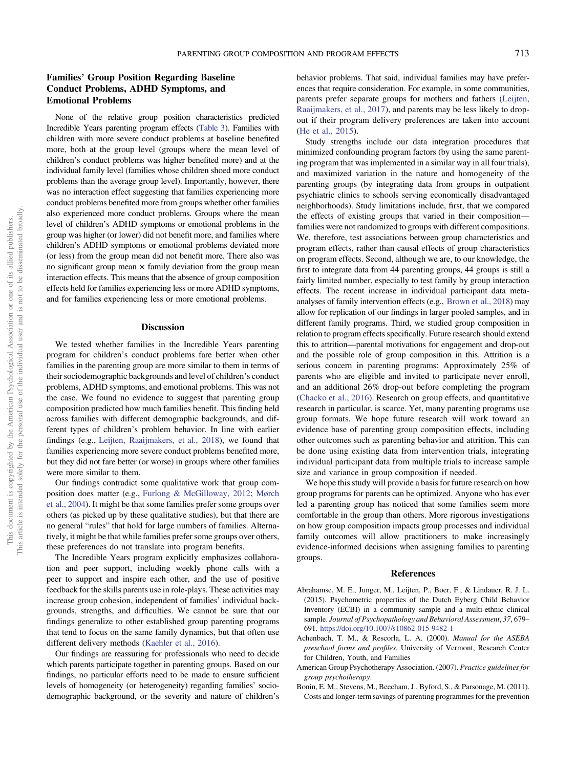### Families' Group Position Regarding Baseline Conduct Problems, ADHD Symptoms, and Emotional Problems

None of the relative group position characteristics predicted Incredible Years parenting program effects (Table 3). Families with children with more severe conduct problems at baseline benefited more, both at the group level (groups where the mean level of children's conduct problems was higher benefited more) and at the individual family level (families whose children shoed more conduct problems than the average group level). Importantly, however, there was no interaction effect suggesting that families experiencing more conduct problems benefited more from groups whether other families also experienced more conduct problems. Groups where the mean level of children's ADHD symptoms or emotional problems in the group was higher (or lower) did not benefit more, and families where children's ADHD symptoms or emotional problems deviated more (or less) from the group mean did not benefit more. There also was no significant group mean  $\times$  family deviation from the group mean interaction effects. This means that the absence of group composition effects held for families experiencing less or more ADHD symptoms, and for families experiencing less or more emotional problems.

#### Discussion

We tested whether families in the Incredible Years parenting program for children's conduct problems fare better when other families in the parenting group are more similar to them in terms of their sociodemographic backgrounds and level of children's conduct problems, ADHD symptoms, and emotional problems. This was not the case. We found no evidence to suggest that parenting group composition predicted how much families benefit. This finding held across families with different demographic backgrounds, and different types of children's problem behavior. In line with earlier findings (e.g., Leijten, Raaijmakers, et al., 2018), we found that families experiencing more severe conduct problems benefited more, but they did not fare better (or worse) in groups where other families were more similar to them.

Our findings contradict some qualitative work that group composition does matter (e.g., Furlong & McGilloway, 2012; Mørch et al., 2004). It might be that some families prefer some groups over others (as picked up by these qualitative studies), but that there are no general "rules" that hold for large numbers of families. Alternatively, it might be that while families prefer some groups over others, these preferences do not translate into program benefits.

The Incredible Years program explicitly emphasizes collaboration and peer support, including weekly phone calls with a peer to support and inspire each other, and the use of positive feedback for the skills parents use in role-plays. These activities may increase group cohesion, independent of families' individual backgrounds, strengths, and difficulties. We cannot be sure that our findings generalize to other established group parenting programs that tend to focus on the same family dynamics, but that often use different delivery methods (Kaehler et al., 2016).

Our findings are reassuring for professionals who need to decide which parents participate together in parenting groups. Based on our findings, no particular efforts need to be made to ensure sufficient levels of homogeneity (or heterogeneity) regarding families' sociodemographic background, or the severity and nature of children's behavior problems. That said, individual families may have preferences that require consideration. For example, in some communities, parents prefer separate groups for mothers and fathers (Leijten, Raaijmakers, et al., 2017), and parents may be less likely to dropout if their program delivery preferences are taken into account (He et al., 2015).

Study strengths include our data integration procedures that minimized confounding program factors (by using the same parenting program that was implemented in a similar way in all four trials), and maximized variation in the nature and homogeneity of the parenting groups (by integrating data from groups in outpatient psychiatric clinics to schools serving economically disadvantaged neighborhoods). Study limitations include, first, that we compared the effects of existing groups that varied in their composition families were not randomized to groups with different compositions. We, therefore, test associations between group characteristics and program effects, rather than causal effects of group characteristics on program effects. Second, although we are, to our knowledge, the first to integrate data from 44 parenting groups, 44 groups is still a fairly limited number, especially to test family by group interaction effects. The recent increase in individual participant data metaanalyses of family intervention effects (e.g., Brown et al., 2018) may allow for replication of our findings in larger pooled samples, and in different family programs. Third, we studied group composition in relation to program effects specifically. Future research should extend this to attrition—parental motivations for engagement and drop-out and the possible role of group composition in this. Attrition is a serious concern in parenting programs: Approximately 25% of parents who are eligible and invited to participate never enroll, and an additional 26% drop-out before completing the program (Chacko et al., 2016). Research on group effects, and quantitative research in particular, is scarce. Yet, many parenting programs use group formats. We hope future research will work toward an evidence base of parenting group composition effects, including other outcomes such as parenting behavior and attrition. This can be done using existing data from intervention trials, integrating individual participant data from multiple trials to increase sample size and variance in group composition if needed.

We hope this study will provide a basis for future research on how group programs for parents can be optimized. Anyone who has ever led a parenting group has noticed that some families seem more comfortable in the group than others. More rigorous investigations on how group composition impacts group processes and individual family outcomes will allow practitioners to make increasingly evidence-informed decisions when assigning families to parenting groups.

#### References

- Abrahamse, M. E., Junger, M., Leijten, P., Boer, F., & Lindauer, R. J. L. (2015). Psychometric properties of the Dutch Eyberg Child Behavior Inventory (ECBI) in a community sample and a multi-ethnic clinical sample. Journal of Psychopathology and Behavioral Assessment, 37, 679-691. https://doi.org/10.1007/s10862-015-9482-1
- Achenbach, T. M., & Rescorla, L. A. (2000). Manual for the ASEBA preschool forms and profiles. University of Vermont, Research Center for Children, Youth, and Families
- American Group Psychotherapy Association. (2007). Practice guidelines for group psychotherapy.
- Bonin, E. M., Stevens, M., Beecham, J., Byford, S., & Parsonage, M. (2011). Costs and longer-term savings of parenting programmes for the prevention